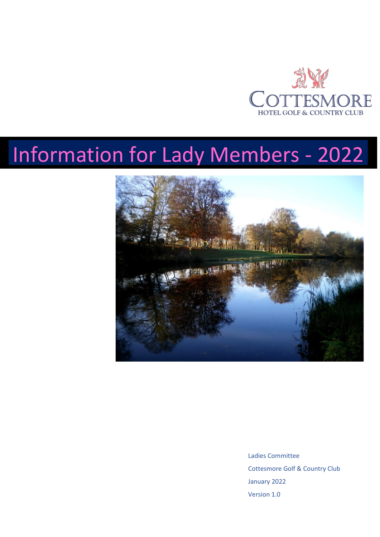

# Information for Lady Members - 2022



Ladies Committee Cottesmore Golf & Country Club January 2022 Version 1.0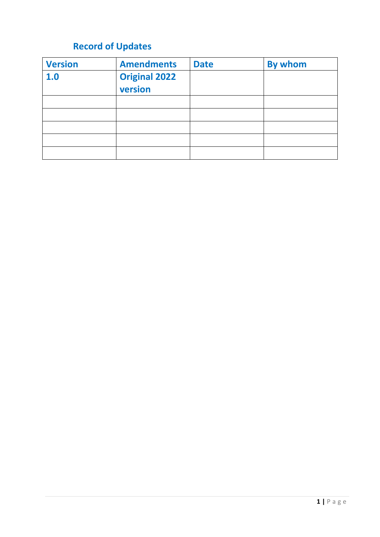# **Record of Updates**

| <b>Version</b> | <b>Amendments</b>               | <b>Date</b> | By whom |
|----------------|---------------------------------|-------------|---------|
| 1.0            | <b>Original 2022</b><br>version |             |         |
|                |                                 |             |         |
|                |                                 |             |         |
|                |                                 |             |         |
|                |                                 |             |         |
|                |                                 |             |         |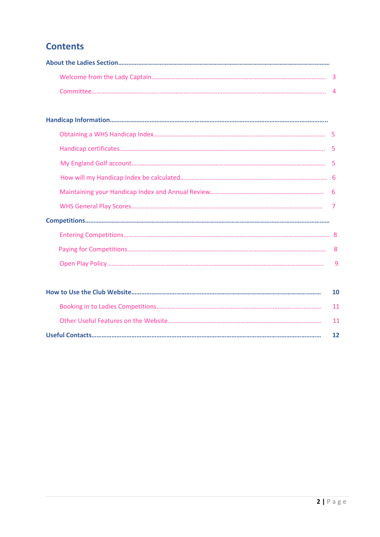## **Contents**

| 6  |
|----|
|    |
|    |
|    |
| -8 |
| 9  |
|    |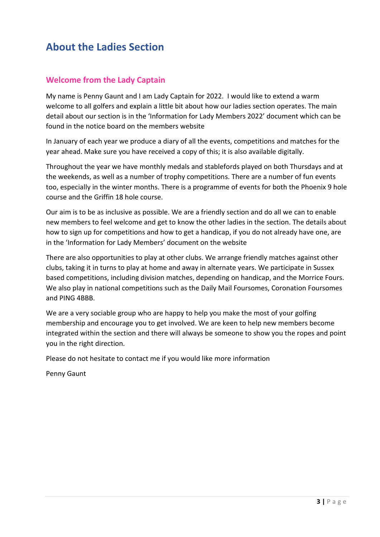## **About the Ladies Section**

### **Welcome from the Lady Captain**

My name is Penny Gaunt and I am Lady Captain for 2022. I would like to extend a warm welcome to all golfers and explain a little bit about how our ladies section operates. The main detail about our section is in the 'Information for Lady Members 2022' document which can be found in the notice board on the members website

In January of each year we produce a diary of all the events, competitions and matches for the year ahead. Make sure you have received a copy of this; it is also available digitally.

Throughout the year we have monthly medals and stablefords played on both Thursdays and at the weekends, as well as a number of trophy competitions. There are a number of fun events too, especially in the winter months. There is a programme of events for both the Phoenix 9 hole course and the Griffin 18 hole course.

Our aim is to be as inclusive as possible. We are a friendly section and do all we can to enable new members to feel welcome and get to know the other ladies in the section. The details about how to sign up for competitions and how to get a handicap, if you do not already have one, are in the 'Information for Lady Members' document on the website

There are also opportunities to play at other clubs. We arrange friendly matches against other clubs, taking it in turns to play at home and away in alternate years. We participate in Sussex based competitions, including division matches, depending on handicap, and the Morrice Fours. We also play in national competitions such as the Daily Mail Foursomes, Coronation Foursomes and PING 4BBB.

We are a very sociable group who are happy to help you make the most of your golfing membership and encourage you to get involved. We are keen to help new members become integrated within the section and there will always be someone to show you the ropes and point you in the right direction.

Please do not hesitate to contact me if you would like more information

Penny Gaunt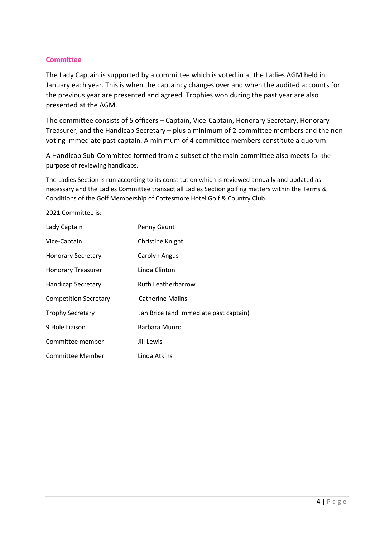#### **Committee**

The Lady Captain is supported by a committee which is voted in at the Ladies AGM held in January each year. This is when the captaincy changes over and when the audited accounts for the previous year are presented and agreed. Trophies won during the past year are also presented at the AGM.

The committee consists of 5 officers – Captain, Vice-Captain, Honorary Secretary, Honorary Treasurer, and the Handicap Secretary – plus a minimum of 2 committee members and the nonvoting immediate past captain. A minimum of 4 committee members constitute a quorum.

A Handicap Sub-Committee formed from a subset of the main committee also meets for the purpose of reviewing handicaps.

The Ladies Section is run according to its constitution which is reviewed annually and updated as necessary and the Ladies Committee transact all Ladies Section golfing matters within the Terms & Conditions of the Golf Membership of Cottesmore Hotel Golf & Country Club.

2021 Committee is:

| Lady Captain                 | Penny Gaunt                            |
|------------------------------|----------------------------------------|
| Vice-Captain                 | Christine Knight                       |
| <b>Honorary Secretary</b>    | Carolyn Angus                          |
| <b>Honorary Treasurer</b>    | Linda Clinton                          |
| <b>Handicap Secretary</b>    | Ruth Leatherbarrow                     |
| <b>Competition Secretary</b> | <b>Catherine Malins</b>                |
| <b>Trophy Secretary</b>      | Jan Brice (and Immediate past captain) |
| 9 Hole Liaison               | Barbara Munro                          |
| Committee member             | Jill Lewis                             |
| <b>Committee Member</b>      | Linda Atkins                           |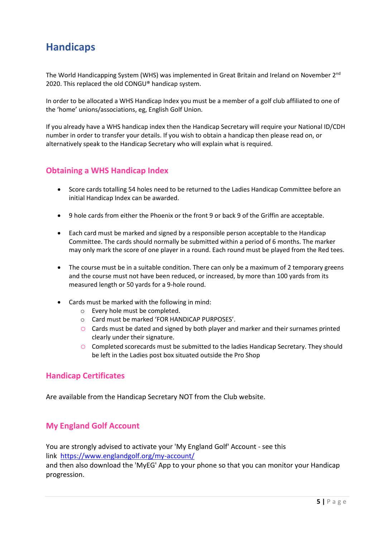## **Handicaps**

The World Handicapping System (WHS) was implemented in Great Britain and Ireland on November 2<sup>nd</sup> 2020. This replaced the old CONGU® handicap system.

In order to be allocated a WHS Handicap Index you must be a member of a golf club affiliated to one of the 'home' unions/associations, eg, English Golf Union.

If you already have a WHS handicap index then the Handicap Secretary will require your National ID/CDH number in order to transfer your details. If you wish to obtain a handicap then please read on, or alternatively speak to the Handicap Secretary who will explain what is required.

#### **Obtaining a WHS Handicap Index**

- Score cards totalling 54 holes need to be returned to the Ladies Handicap Committee before an initial Handicap Index can be awarded.
- 9 hole cards from either the Phoenix or the front 9 or back 9 of the Griffin are acceptable.
- Each card must be marked and signed by a responsible person acceptable to the Handicap Committee. The cards should normally be submitted within a period of 6 months. The marker may only mark the score of one player in a round. Each round must be played from the Red tees.
- The course must be in a suitable condition. There can only be a maximum of 2 temporary greens and the course must not have been reduced, or increased, by more than 100 yards from its measured length or 50 yards for a 9-hole round.
- Cards must be marked with the following in mind:
	- o Every hole must be completed.
	- o Card must be marked 'FOR HANDICAP PURPOSES'.
	- $\circ$  Cards must be dated and signed by both player and marker and their surnames printed clearly under their signature.
	- o Completed scorecards must be submitted to the ladies Handicap Secretary. They should be left in the Ladies post box situated outside the Pro Shop

#### **Handicap Certificates**

Are available from the Handicap Secretary NOT from the Club website.

#### **My England Golf Account**

You are strongly advised to activate your 'My England Golf' Account - see this link [https://www.englandgolf.org/my-account/](https://emea01.safelinks.protection.outlook.com/?url=https%3A%2F%2Fwww.englandgolf.org%2Fmy-account%2F&data=04%7C01%7C%7C51128be2d46c47328e2208d95fd7d4bc%7C84df9e7fe9f640afb435aaaaaaaaaaaa%7C1%7C0%7C637646202849507831%7CUnknown%7CTWFpbGZsb3d8eyJWIjoiMC4wLjAwMDAiLCJQIjoiV2luMzIiLCJBTiI6Ik1haWwiLCJXVCI6Mn0%3D%7C1000&sdata=f43WQ8XvPD6HOpSd%2FjbH0B2RibjNx%2F2yYIHtyaBTkdw%3D&reserved=0)

and then also download the 'MyEG' App to your phone so that you can monitor your Handicap progression.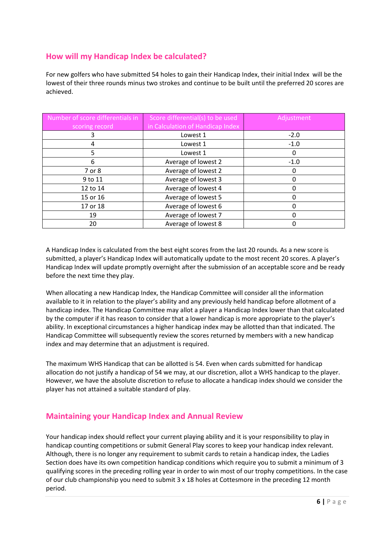### **How will my Handicap Index be calculated?**

For new golfers who have submitted 54 holes to gain their Handicap Index, their initial Index will be the lowest of their three rounds minus two strokes and continue to be built until the preferred 20 scores are achieved.

| Number of score differentials in | Score differential(s) to be used | Adjustment |
|----------------------------------|----------------------------------|------------|
| scoring record                   | in Calculation of Handicap Index |            |
|                                  | Lowest 1                         | $-2.0$     |
| 4                                | Lowest 1                         | $-1.0$     |
| 5                                | Lowest 1                         | 0          |
| 6                                | Average of lowest 2              | $-1.0$     |
| 7 or 8                           | Average of lowest 2              | 0          |
| 9 to 11                          | Average of lowest 3              |            |
| 12 to 14                         | Average of lowest 4              |            |
| 15 or 16                         | Average of lowest 5              |            |
| 17 or 18                         | Average of lowest 6              |            |
| 19                               | Average of lowest 7              | U          |
| 20                               | Average of lowest 8              |            |

A Handicap Index is calculated from the best eight scores from the last 20 rounds. As a new score is submitted, a player's Handicap Index will automatically update to the most recent 20 scores. A player's Handicap Index will update promptly overnight after the submission of an acceptable score and be ready before the next time they play.

When allocating a new Handicap Index, the Handicap Committee will consider all the information available to it in relation to the player's ability and any previously held handicap before allotment of a handicap index. The Handicap Committee may allot a player a Handicap Index lower than that calculated by the computer if it has reason to consider that a lower handicap is more appropriate to the player's ability. In exceptional circumstances a higher handicap index may be allotted than that indicated. The Handicap Committee will subsequently review the scores returned by members with a new handicap index and may determine that an adjustment is required.

The maximum WHS Handicap that can be allotted is 54. Even when cards submitted for handicap allocation do not justify a handicap of 54 we may, at our discretion, allot a WHS handicap to the player. However, we have the absolute discretion to refuse to allocate a handicap index should we consider the player has not attained a suitable standard of play.

#### **Maintaining your Handicap Index and Annual Review**

Your handicap index should reflect your current playing ability and it is your responsibility to play in handicap counting competitions or submit General Play scores to keep your handicap index relevant. Although, there is no longer any requirement to submit cards to retain a handicap index, the Ladies Section does have its own competition handicap conditions which require you to submit a minimum of 3 qualifying scores in the preceding rolling year in order to win most of our trophy competitions. In the case of our club championship you need to submit 3 x 18 holes at Cottesmore in the preceding 12 month period.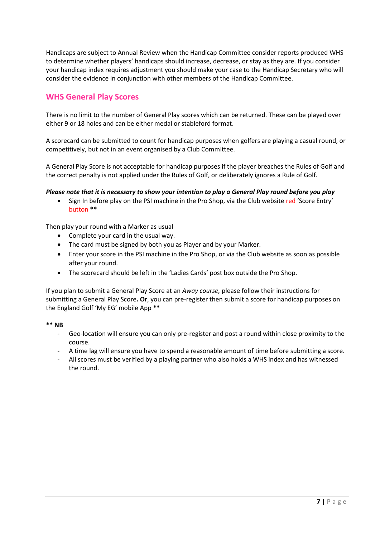Handicaps are subject to Annual Review when the Handicap Committee consider reports produced WHS to determine whether players' handicaps should increase, decrease, or stay as they are. If you consider your handicap index requires adjustment you should make your case to the Handicap Secretary who will consider the evidence in conjunction with other members of the Handicap Committee.

#### **WHS General Play Scores**

There is no limit to the number of General Play scores which can be returned. These can be played over either 9 or 18 holes and can be either medal or stableford format.

A scorecard can be submitted to count for handicap purposes when golfers are playing a casual round, or competitively, but not in an event organised by a Club Committee.

A General Play Score is not acceptable for handicap purposes if the player breaches the Rules of Golf and the correct penalty is not applied under the Rules of Golf, or deliberately ignores a Rule of Golf.

Please note that it is necessary to show your intention to play a General Play round before you play

• Sign In before play on the PSI machine in the Pro Shop, via the Club website red 'Score Entry' button **\*\***

Then play your round with a Marker as usual

- Complete your card in the usual way.
- The card must be signed by both you as Player and by your Marker.
- Enter your score in the PSI machine in the Pro Shop, or via the Club website as soon as possible after your round.
- The scorecard should be left in the 'Ladies Cards' post box outside the Pro Shop.

If you plan to submit a General Play Score at an *Away course,* please follow their instructions for submitting a General Play Score**. Or**, you can pre-register then submit a score for handicap purposes on the England Golf 'My EG' mobile App **\*\***

#### **\*\* NB**

- Geo-location will ensure you can only pre-register and post a round within close proximity to the course.
- A time lag will ensure you have to spend a reasonable amount of time before submitting a score.
- All scores must be verified by a playing partner who also holds a WHS index and has witnessed the round.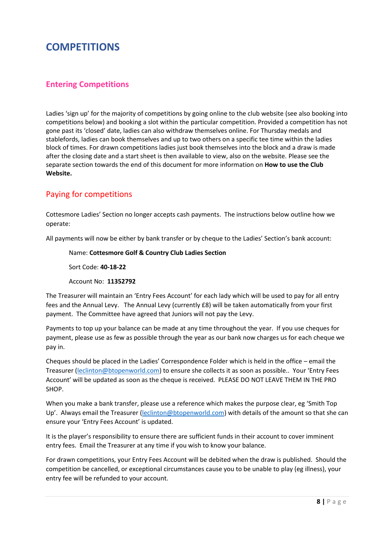## **COMPETITIONS**

#### **Entering Competitions**

Ladies 'sign up' for the majority of competitions by going online to the club website (see also booking into competitions below) and booking a slot within the particular competition. Provided a competition has not gone past its 'closed' date, ladies can also withdraw themselves online. For Thursday medals and stablefords, ladies can book themselves and up to two others on a specific tee time within the ladies block of times. For drawn competitions ladies just book themselves into the block and a draw is made after the closing date and a start sheet is then available to view, also on the website. Please see the separate section towards the end of this document for more information on **How to use the Club Website.**

## Paying for competitions

Cottesmore Ladies' Section no longer accepts cash payments. The instructions below outline how we operate:

All payments will now be either by bank transfer or by cheque to the Ladies' Section's bank account:

Name: **Cottesmore Golf & Country Club Ladies Section**

Sort Code: **40-18-22**

Account No: **11352792**

The Treasurer will maintain an 'Entry Fees Account' for each lady which will be used to pay for all entry fees and the Annual Levy. The Annual Levy (currently £8) will be taken automatically from your first payment. The Committee have agreed that Juniors will not pay the Levy.

Payments to top up your balance can be made at any time throughout the year. If you use cheques for payment, please use as few as possible through the year as our bank now charges us for each cheque we pay in.

Cheques should be placed in the Ladies' Correspondence Folder which is held in the office – email the Treasurer [\(leclinton@btopenworld.com](mailto:leclinton@btopenworld.com)) to ensure she collects it as soon as possible.. Your 'Entry Fees Account' will be updated as soon as the cheque is received. PLEASE DO NOT LEAVE THEM IN THE PRO SHOP.

When you make a bank transfer, please use a reference which makes the purpose clear, eg 'Smith Top Up'. Always email the Treasurer ([leclinton@btopenworld.com\)](mailto:leclinton@btopenworld.com) with details of the amount so that she can ensure your 'Entry Fees Account' is updated.

It is the player's responsibility to ensure there are sufficient funds in their account to cover imminent entry fees. Email the Treasurer at any time if you wish to know your balance.

For drawn competitions, your Entry Fees Account will be debited when the draw is published. Should the competition be cancelled, or exceptional circumstances cause you to be unable to play (eg illness), your entry fee will be refunded to your account.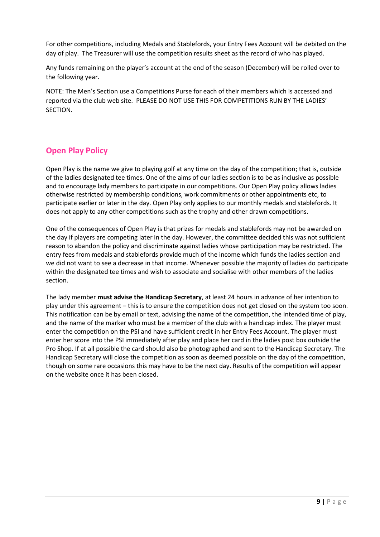For other competitions, including Medals and Stablefords, your Entry Fees Account will be debited on the day of play. The Treasurer will use the competition results sheet as the record of who has played.

Any funds remaining on the player's account at the end of the season (December) will be rolled over to the following year.

NOTE: The Men's Section use a Competitions Purse for each of their members which is accessed and reported via the club web site. PLEASE DO NOT USE THIS FOR COMPETITIONS RUN BY THE LADIES' **SECTION** 

## **Open Play Policy**

Open Play is the name we give to playing golf at any time on the day of the competition; that is, outside of the ladies designated tee times. One of the aims of our ladies section is to be as inclusive as possible and to encourage lady members to participate in our competitions. Our Open Play policy allows ladies otherwise restricted by membership conditions, work commitments or other appointments etc, to participate earlier or later in the day. Open Play only applies to our monthly medals and stablefords. It does not apply to any other competitions such as the trophy and other drawn competitions.

One of the consequences of Open Play is that prizes for medals and stablefords may not be awarded on the day if players are competing later in the day. However, the committee decided this was not sufficient reason to abandon the policy and discriminate against ladies whose participation may be restricted. The entry fees from medals and stablefords provide much of the income which funds the ladies section and we did not want to see a decrease in that income. Whenever possible the majority of ladies do participate within the designated tee times and wish to associate and socialise with other members of the ladies section.

The lady member **must advise the Handicap Secretary**, at least 24 hours in advance of her intention to play under this agreement – this is to ensure the competition does not get closed on the system too soon. This notification can be by email or text, advising the name of the competition, the intended time of play, and the name of the marker who must be a member of the club with a handicap index. The player must enter the competition on the PSI and have sufficient credit in her Entry Fees Account. The player must enter her score into the PSI immediately after play and place her card in the ladies post box outside the Pro Shop. If at all possible the card should also be photographed and sent to the Handicap Secretary. The Handicap Secretary will close the competition as soon as deemed possible on the day of the competition, though on some rare occasions this may have to be the next day. Results of the competition will appear on the website once it has been closed.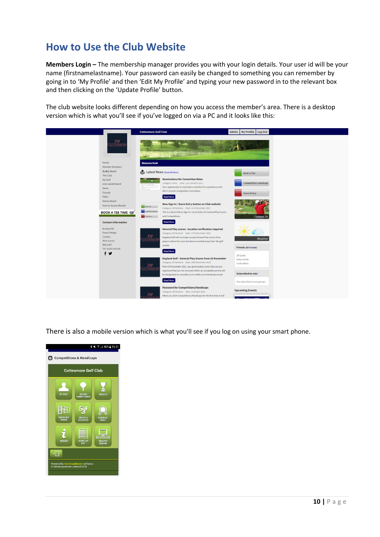## **How to Use the Club Website**

**Members Login –** The membership manager provides you with your login details. Your user id will be your name (firstnamelastname). Your password can easily be changed to something you can remember by going in to 'My Profile' and then 'Edit My Profile' and typing your new password in to the relevant box and then clicking on the 'Update Profile' button.

The club website looks different depending on how you access the member's area. There is a desktop version which is what you'll see if you've logged on via a PC and it looks like this:



There is also a mobile version which is what you'll see if you log on using your smart phone.

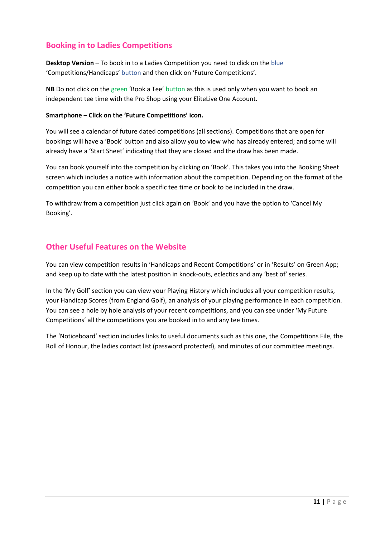#### **Booking in to Ladies Competitions**

**Desktop Version** – To book in to a Ladies Competition you need to click on the blue 'Competitions/Handicaps' button and then click on 'Future Competitions'.

**NB** Do not click on the green 'Book a Tee' button as this is used only when you want to book an independent tee time with the Pro Shop using your EliteLive One Account.

#### **Smartphone** – **Click on the 'Future Competitions' icon.**

You will see a calendar of future dated competitions (all sections). Competitions that are open for bookings will have a 'Book' button and also allow you to view who has already entered; and some will already have a 'Start Sheet' indicating that they are closed and the draw has been made.

You can book yourself into the competition by clicking on 'Book'. This takes you into the Booking Sheet screen which includes a notice with information about the competition. Depending on the format of the competition you can either book a specific tee time or book to be included in the draw.

To withdraw from a competition just click again on 'Book' and you have the option to 'Cancel My Booking'.

#### **Other Useful Features on the Website**

You can view competition results in 'Handicaps and Recent Competitions' or in 'Results' on Green App; and keep up to date with the latest position in knock-outs, eclectics and any 'best of' series.

In the 'My Golf' section you can view your Playing History which includes all your competition results, your Handicap Scores (from England Golf), an analysis of your playing performance in each competition. You can see a hole by hole analysis of your recent competitions, and you can see under 'My Future Competitions' all the competitions you are booked in to and any tee times.

The 'Noticeboard' section includes links to useful documents such as this one, the Competitions File, the Roll of Honour, the ladies contact list (password protected), and minutes of our committee meetings.